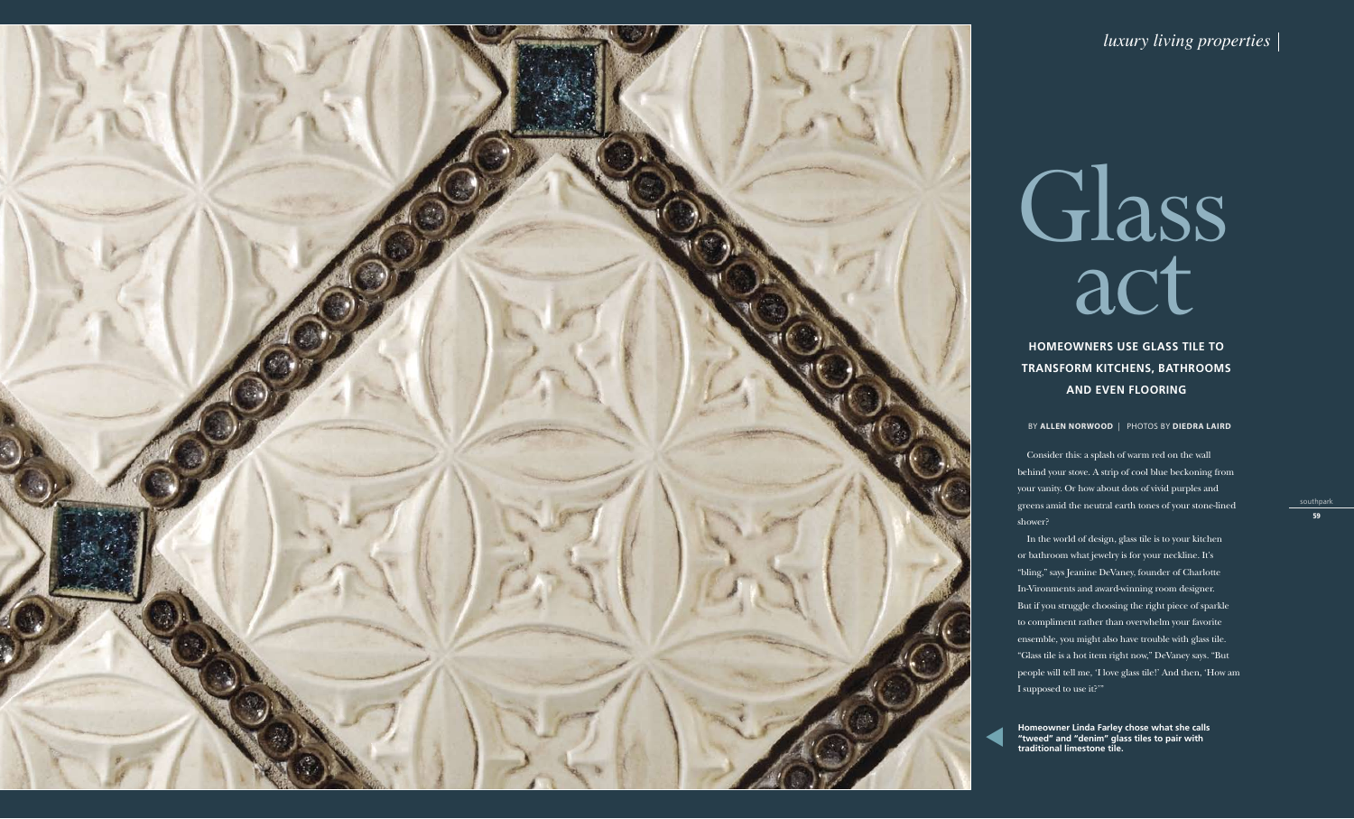

# Glass act

*luxury living properties*

### **Homeowners use glass tile to transform kitc hens, bat hrooms and even flooring**

BY **ALLEN NORWOOD** | PHOTOS BY **DIEDRA LAIRD** l

Consider this: a splash of warm red on the wall behind your stove. A strip of cool blue beckoning from your vanity. Or how about dots of vivid purples and greens amid the neutral earth tones of your stone-lined shower?

**Homeowner Linda Farley chose what she calls Example 19 The United States of the United States of the Conduct of The Theorem 19 The States of the traditional limestone tile.**<br> **States to pair with traditional limestone tile.** 

In the world of design, glass tile is to your kitchen or bathroom what jewelry is for your neckline. It's "bling," says Jeanine DeVaney, founder of Charlotte In-Vironments and award-winning room designer. But if you struggle choosing the right piece of sparkle to compliment rather than overwhelm your favorite ensemble, you might also have trouble with glass tile. "Glass tile is a hot item right now," DeVaney says. "But people will tell me, 'I love glass tile!' And then, 'How am I supposed to use it?'"

southpark

59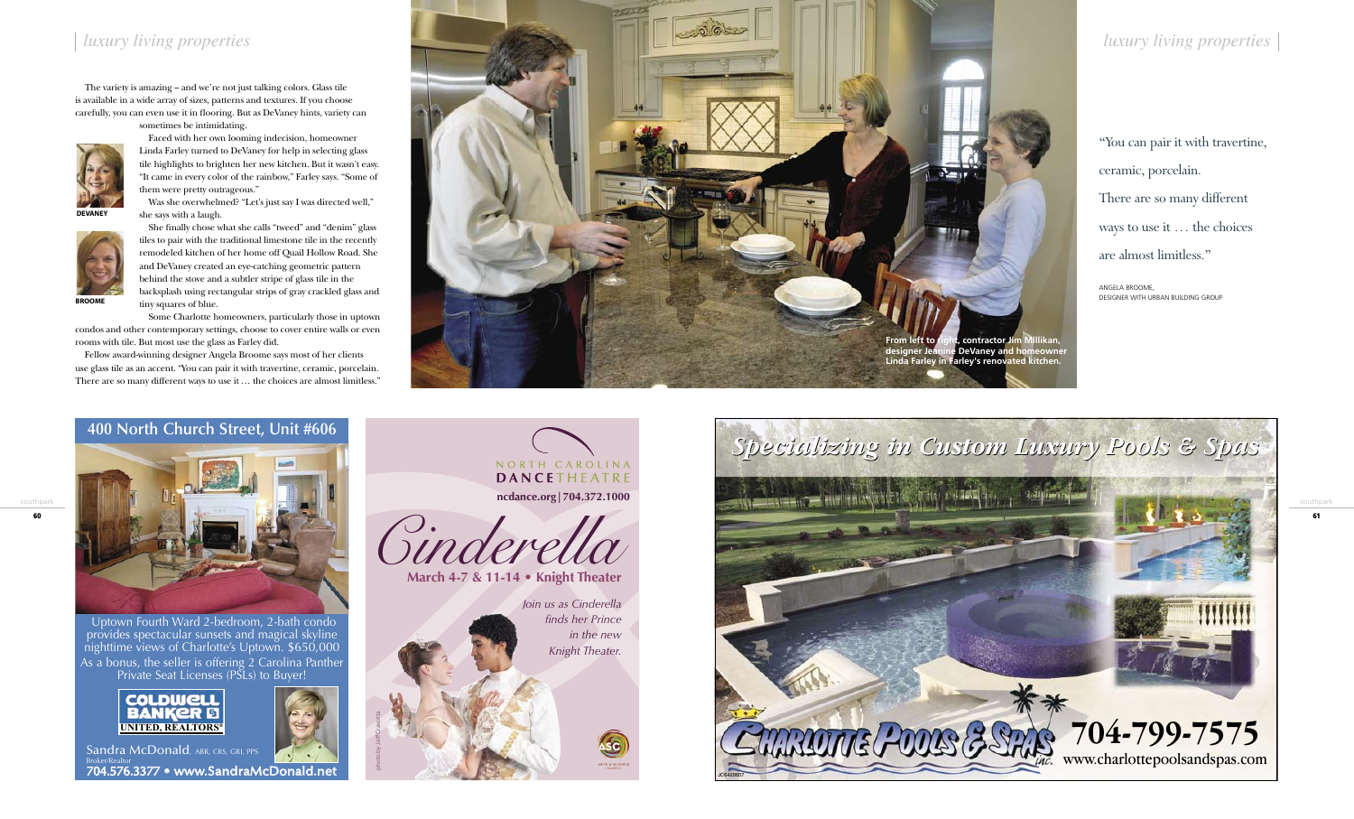southpark

61

The variety is amazing – and we're not just talking colors. Glass tile is available in a wide array of sizes, patterns and textures. If you choose carefully, you can even use it in flooring. But as DeVaney hints, variety can sometimes be intimidating.



Faced with her own looming indecision, homeowner Linda Farley turned to DeVaney for help in selecting glass tile highlights to brighten her new kitchen. But it wasn't easy. "It came in every color of the rainbow," Farley says. "Some of them were pretty outrageous."

Was she overwhelmed? "Let's just say I was directed well," she says with a laugh.

She finally chose what she calls "tweed" and "denim" glass tiles to pair with the traditional limestone tile in the recently remodeled kitchen of her home off Quail Hollow Road. She and DeVaney created an eye-catching geometric pattern behind the stove and a subtler stripe of glass tile in the backsplash using rectangular strips of gray crackled glass and

> NORTH CAROLINA **DANCETHEATRE ncdance.org|704.372.1000**

tiny squares of blue. Some Charlotte homeowners, particularly those in uptown condos and other contemporary settings, choose to cover entire walls or even rooms with tile. But most use the glass as Farley did.



Fellow award-winning designer Angela Broome says most of her clients use glass tile as an accent. "You can pair it with travertine, ceramic, porcelain. There are so many different ways to use it … the choices are almost limitless."

**devaney**



**Broome**



Uptown Fourth Ward 2-bedroom, 2-bath condo provides spectacular sunsets and magical skyline nighttime views of Charlotte's Uptown. \$650,000 As a bonus, the seller is offering 2 Carolina Panther Private Seat Licenses (PSLs) to Buyer!









*Join us as Cinderella finds her Prince in the new Knight Theater.*

photo by Jeff Cravotta

Sandra McDonald, ABR, CRS, GRI, PPS Broker/Realtor<br>704.576.3377 • www.SandraMcDonald.net

"You can pair it with travertine, ceramic, porcelain. There are so many different ways to use it … the choices are almost limitless."

Angela Broome, Designer WITH Urban Building Group